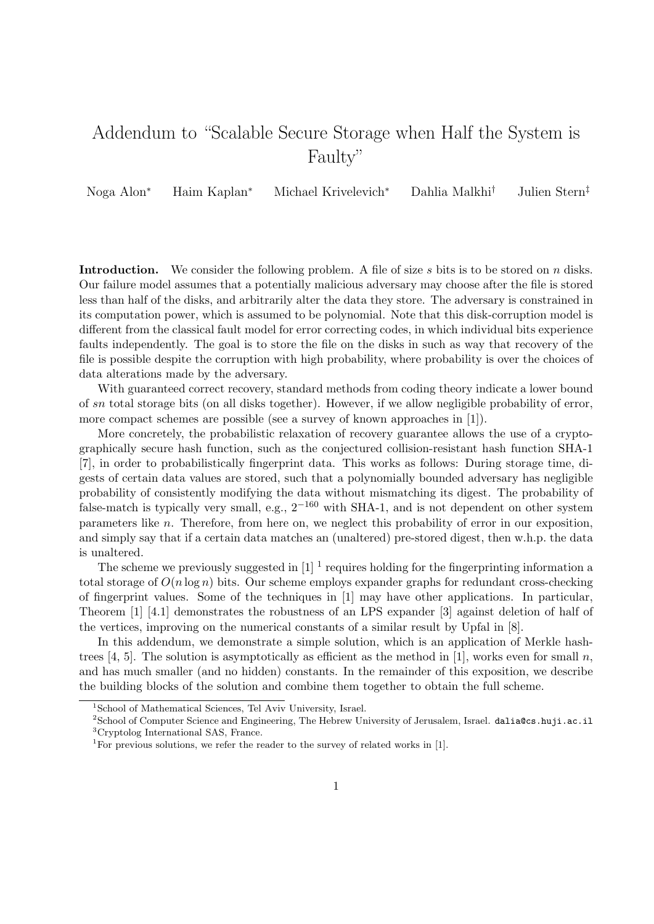## Addendum to "Scalable Secure Storage when Half the System is Faulty"

Noga Alon<sup>∗</sup> Haim Kaplan<sup>∗</sup> Michael Krivelevich<sup>∗</sup> Dahlia Malkhi† Julien Stern‡

**Introduction.** We consider the following problem. A file of size s bits is to be stored on n disks. Our failure model assumes that a potentially malicious adversary may choose after the file is stored less than half of the disks, and arbitrarily alter the data they store. The adversary is constrained in its computation power, which is assumed to be polynomial. Note that this disk-corruption model is different from the classical fault model for error correcting codes, in which individual bits experience faults independently. The goal is to store the file on the disks in such as way that recovery of the file is possible despite the corruption with high probability, where probability is over the choices of data alterations made by the adversary.

With guaranteed correct recovery, standard methods from coding theory indicate a lower bound of sn total storage bits (on all disks together). However, if we allow negligible probability of error, more compact schemes are possible (see a survey of known approaches in [1]).

More concretely, the probabilistic relaxation of recovery guarantee allows the use of a cryptographically secure hash function, such as the conjectured collision-resistant hash function SHA-1 [7], in order to probabilistically fingerprint data. This works as follows: During storage time, digests of certain data values are stored, such that a polynomially bounded adversary has negligible probability of consistently modifying the data without mismatching its digest. The probability of false-match is typically very small, e.g.,  $2^{-160}$  with SHA-1, and is not dependent on other system parameters like n. Therefore, from here on, we neglect this probability of error in our exposition, and simply say that if a certain data matches an (unaltered) pre-stored digest, then w.h.p. the data is unaltered.

The scheme we previously suggested in  $\left[1\right]$ <sup>1</sup> requires holding for the fingerprinting information a total storage of  $O(n \log n)$  bits. Our scheme employs expander graphs for redundant cross-checking of fingerprint values. Some of the techniques in [1] may have other applications. In particular, Theorem [1] [4.1] demonstrates the robustness of an LPS expander [3] against deletion of half of the vertices, improving on the numerical constants of a similar result by Upfal in [8].

In this addendum, we demonstrate a simple solution, which is an application of Merkle hashtrees [4, 5]. The solution is asymptotically as efficient as the method in [1], works even for small n, and has much smaller (and no hidden) constants. In the remainder of this exposition, we describe the building blocks of the solution and combine them together to obtain the full scheme.

<sup>&</sup>lt;sup>1</sup>School of Mathematical Sciences, Tel Aviv University, Israel.

<sup>2</sup>School of Computer Science and Engineering, The Hebrew University of Jerusalem, Israel. dalia@cs.huji.ac.il <sup>3</sup>Cryptolog International SAS, France.

<sup>&</sup>lt;sup>1</sup> For previous solutions, we refer the reader to the survey of related works in [1].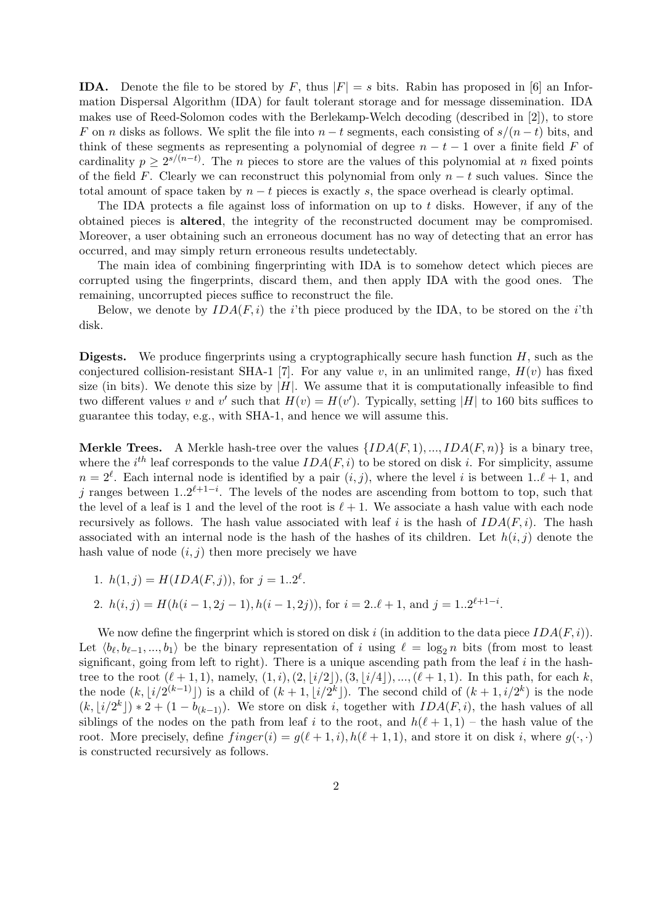**IDA.** Denote the file to be stored by F, thus  $|F| = s$  bits. Rabin has proposed in [6] an Information Dispersal Algorithm (IDA) for fault tolerant storage and for message dissemination. IDA makes use of Reed-Solomon codes with the Berlekamp-Welch decoding (described in [2]), to store F on n disks as follows. We split the file into  $n - t$  segments, each consisting of  $s/(n - t)$  bits, and think of these segments as representing a polynomial of degree  $n - t - 1$  over a finite field F of cardinality  $p \geq 2^{s/(n-t)}$ . The *n* pieces to store are the values of this polynomial at *n* fixed points of the field F. Clearly we can reconstruct this polynomial from only  $n - t$  such values. Since the total amount of space taken by  $n - t$  pieces is exactly s, the space overhead is clearly optimal.

The IDA protects a file against loss of information on up to t disks. However, if any of the obtained pieces is altered, the integrity of the reconstructed document may be compromised. Moreover, a user obtaining such an erroneous document has no way of detecting that an error has occurred, and may simply return erroneous results undetectably.

The main idea of combining fingerprinting with IDA is to somehow detect which pieces are corrupted using the fingerprints, discard them, and then apply IDA with the good ones. The remaining, uncorrupted pieces suffice to reconstruct the file.

Below, we denote by  $IDA(F, i)$  the *i*'th piece produced by the IDA, to be stored on the *i*'th disk.

**Digests.** We produce fingerprints using a cryptographically secure hash function  $H$ , such as the conjectured collision-resistant SHA-1 [7]. For any value v, in an unlimited range,  $H(v)$  has fixed size (in bits). We denote this size by  $|H|$ . We assume that it is computationally infeasible to find two different values v and v' such that  $H(v) = H(v')$ . Typically, setting |H| to 160 bits suffices to guarantee this today, e.g., with SHA-1, and hence we will assume this.

**Merkle Trees.** A Merkle hash-tree over the values  $\{IDA(F, 1), ..., IDA(F, n)\}\$ is a binary tree, where the i<sup>th</sup> leaf corresponds to the value  $IDA(F, i)$  to be stored on disk i. For simplicity, assume  $n = 2^{\ell}$ . Each internal node is identified by a pair  $(i, j)$ , where the level i is between 1.. $\ell + 1$ , and j ranges between  $1..2^{\ell+1-i}$ . The levels of the nodes are ascending from bottom to top, such that the level of a leaf is 1 and the level of the root is  $\ell + 1$ . We associate a hash value with each node recursively as follows. The hash value associated with leaf i is the hash of  $IDA(F, i)$ . The hash associated with an internal node is the hash of the hashes of its children. Let  $h(i, j)$  denote the hash value of node  $(i, j)$  then more precisely we have

1. 
$$
h(1, j) = H(IDA(F, j)),
$$
 for  $j = 1..2^{\ell}$ .

2. 
$$
h(i, j) = H(h(i - 1, 2j - 1), h(i - 1, 2j))
$$
, for  $i = 2 \ldots \ell + 1$ , and  $j = 1 \ldots 2^{\ell+1-i}$ .

We now define the fingerprint which is stored on disk i (in addition to the data piece  $IDA(F, i)$ ). Let  $\langle b_\ell, b_{\ell-1}, ..., b_1 \rangle$  be the binary representation of i using  $\ell = \log_2 n$  bits (from most to least significant, going from left to right). There is a unique ascending path from the leaf  $i$  in the hashtree to the root  $(\ell + 1, 1)$ , namely,  $(1, i), (2, |i/2|), (3, |i/4|), ..., (\ell + 1, 1)$ . In this path, for each k, the node  $(k, |i/2^{(k-1)}|)$  is a child of  $(k+1, |i/2^k|)$ . The second child of  $(k+1, i/2^k)$  is the node  $(k, \lfloor i/2^k \rfloor) * 2 + (1 - b_{(k-1)})$ . We store on disk i, together with  $IDA(F, i)$ , the hash values of all siblings of the nodes on the path from leaf i to the root, and  $h(\ell + 1, 1)$  – the hash value of the root. More precisely, define  $finger(i) = g(\ell + 1, i)$ ,  $h(\ell + 1, 1)$ , and store it on disk i, where  $g(\cdot, \cdot)$ is constructed recursively as follows.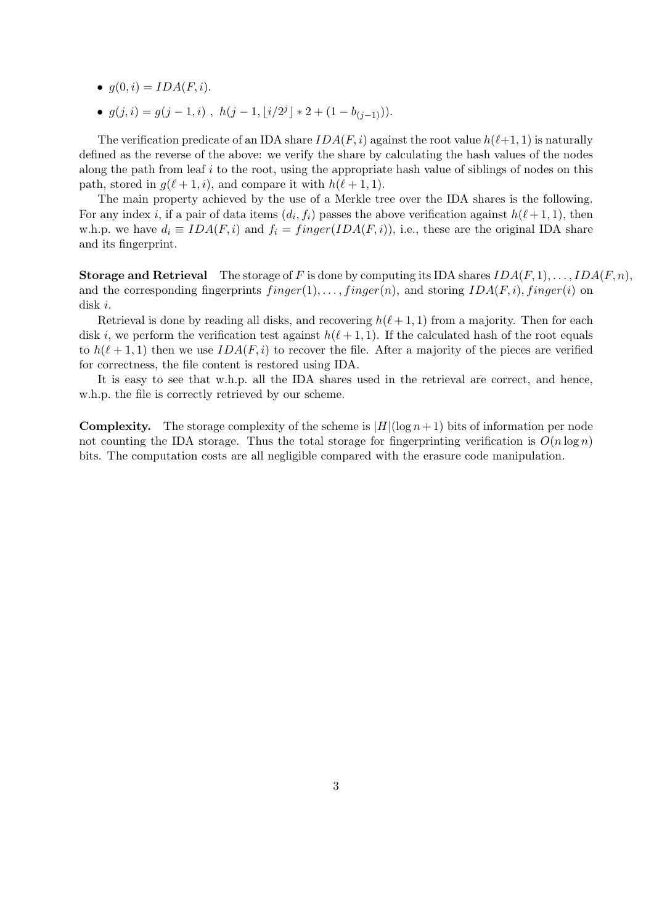- $g(0, i) = IDA(F, i)$ .
- $g(j,i) = g(j-1,i)$ ,  $h(j-1, \lfloor i/2^j \rfloor * 2 + (1 b_{(j-1)}))$ .

The verification predicate of an IDA share  $IDA(F, i)$  against the root value  $h(\ell+1, 1)$  is naturally defined as the reverse of the above: we verify the share by calculating the hash values of the nodes along the path from leaf  $i$  to the root, using the appropriate hash value of siblings of nodes on this path, stored in  $q(\ell + 1, i)$ , and compare it with  $h(\ell + 1, 1)$ .

The main property achieved by the use of a Merkle tree over the IDA shares is the following. For any index *i*, if a pair of data items  $(d_i, f_i)$  passes the above verification against  $h(\ell + 1, 1)$ , then w.h.p. we have  $d_i \equiv IDA(F, i)$  and  $f_i = finger(IDA(F, i))$ , i.e., these are the original IDA share and its fingerprint.

**Storage and Retrieval** The storage of F is done by computing its IDA shares  $IDA(F, 1), \ldots, IDA(F, n)$ , and the corresponding fingerprints  $finger(1), \ldots, finger(n)$ , and storing  $IDA(F, i)$ , finger(i) on disk i.

Retrieval is done by reading all disks, and recovering  $h(\ell + 1, 1)$  from a majority. Then for each disk i, we perform the verification test against  $h(\ell + 1, 1)$ . If the calculated hash of the root equals to  $h(\ell + 1, 1)$  then we use  $IDA(F, i)$  to recover the file. After a majority of the pieces are verified for correctness, the file content is restored using IDA.

It is easy to see that w.h.p. all the IDA shares used in the retrieval are correct, and hence, w.h.p. the file is correctly retrieved by our scheme.

**Complexity.** The storage complexity of the scheme is  $|H|(\log n+1)$  bits of information per node not counting the IDA storage. Thus the total storage for fingerprinting verification is  $O(n \log n)$ bits. The computation costs are all negligible compared with the erasure code manipulation.